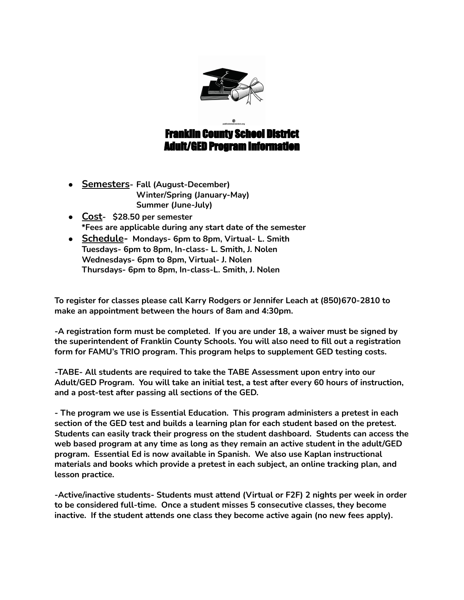

Franklin County School District Adult/GED Program Information

- **● Semesters- Fall (August-December) Winter/Spring (January-May) Summer (June-July)**
- **● Cost- \$28.50 per semester \*Fees are applicable during any start date of the semester**
- **● Schedule- Mondays- 6pm to 8pm, Virtual- L. Smith Tuesdays- 6pm to 8pm, In-class- L. Smith, J. Nolen Wednesdays- 6pm to 8pm, Virtual- J. Nolen Thursdays- 6pm to 8pm, In-class-L. Smith, J. Nolen**

**To register for classes please call Karry Rodgers or Jennifer Leach at (850)670-2810 to make an appointment between the hours of 8am and 4:30pm.**

**-A registration form must be completed. If you are under 18, a waiver must be signed by the superintendent of Franklin County Schools. You will also need to fill out a registration form for FAMU's TRIO program. This program helps to supplement GED testing costs.**

**-TABE- All students are required to take the TABE Assessment upon entry into our Adult/GED Program. You will take an initial test, a test after every 60 hours of instruction, and a post-test after passing all sections of the GED.**

**- The program we use is Essential Education. This program administers a pretest in each section of the GED test and builds a learning plan for each student based on the pretest. Students can easily track their progress on the student dashboard. Students can access the web based program at any time as long as they remain an active student in the adult/GED program. Essential Ed is now available in Spanish. We also use Kaplan instructional materials and books which provide a pretest in each subject, an online tracking plan, and lesson practice.**

**-Active/inactive students- Students must attend (Virtual or F2F) 2 nights per week in order to be considered full-time. Once a student misses 5 consecutive classes, they become inactive. If the student attends one class they become active again (no new fees apply).**